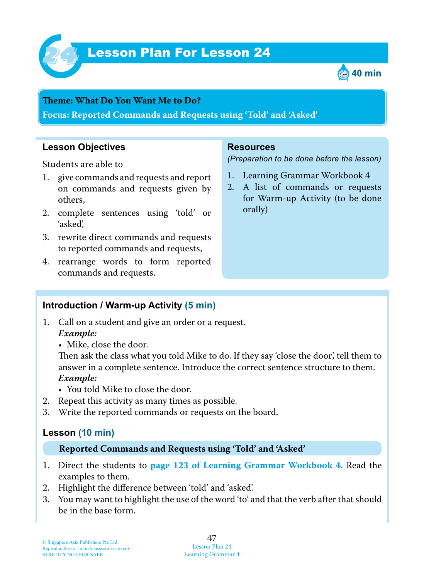

# **Lesson Plan For Lesson 24**



#### **Theme : What Do You Want Me to Do?**

**Focus: Reported Commands and Requests using 'Told' and 'Asked'**

#### **Lesson Objectives**

Students are able to

- 1. give commands and requests and report on commands and requests given by others,
- 2. complete sentences using 'told' or 'asked',
- 3. rewrite direct commands and requests to reported commands and requests,
- 4. rearrange words to form reported commands and requests.

#### **Resources**

*(Preparation to be done before the lesson)*

- 1. Learning Grammar Workbook 4
- 2. A list of commands or requests for Warm-up Activity (to be done orally)

#### **Introduction / Warm-up Activity (5 min)**

- 1. Call on a student and give an order or a request.  *Example:*
	- Mike, close the door.

Then ask the class what you told Mike to do. If they say 'close the door', tell them to answer in a complete sentence. Introduce the correct sentence structure to them.  *Example:*

- You told Mike to close the door.
- 2. Repeat this activity as many times as possible.
- 3. Write the reported commands or requests on the board.

#### **Lesson (10 min)**

#### **Reported Commands and Requests using 'Told' and 'Asked'**

- 1. Direct the students to **page 123 of Learning Grammar Workbook 4**. Read the examples to them.
- 2. Highlight the difference between 'told' and 'asked'.
- 3. You may want to highlight the use of the word 'to' and that the verb after that should be in the base form.